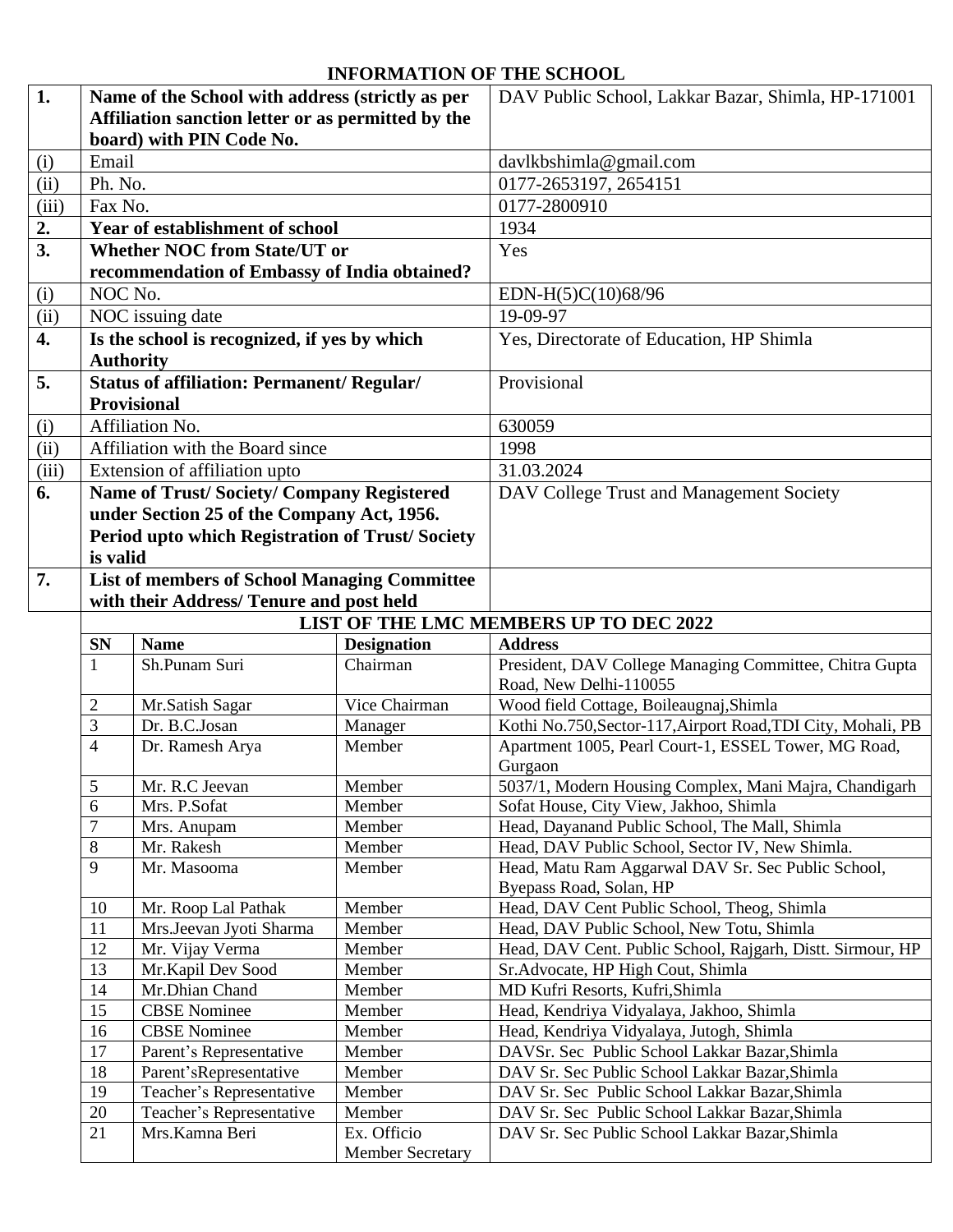## **INFORMATION OF THE SCHOOL**

| 1.    | Name of the School with address (strictly as per                                   |                                                     |                                        | DAV Public School, Lakkar Bazar, Shimla, HP-171001           |  |  |
|-------|------------------------------------------------------------------------------------|-----------------------------------------------------|----------------------------------------|--------------------------------------------------------------|--|--|
|       | Affiliation sanction letter or as permitted by the                                 |                                                     |                                        |                                                              |  |  |
|       | board) with PIN Code No.                                                           |                                                     |                                        |                                                              |  |  |
| (i)   | Email                                                                              |                                                     |                                        | davlkbshimla@gmail.com                                       |  |  |
| (ii)  | Ph. No.                                                                            |                                                     |                                        | 0177-2653197, 2654151                                        |  |  |
| (iii) | Fax No.                                                                            |                                                     |                                        | 0177-2800910                                                 |  |  |
| 2.    |                                                                                    | Year of establishment of school                     |                                        | 1934                                                         |  |  |
| 3.    |                                                                                    | <b>Whether NOC from State/UT or</b>                 |                                        | Yes                                                          |  |  |
|       |                                                                                    | recommendation of Embassy of India obtained?        |                                        |                                                              |  |  |
| (i)   | NOC No.                                                                            |                                                     |                                        | EDN-H(5)C(10)68/96                                           |  |  |
| (ii)  |                                                                                    | NOC issuing date                                    |                                        | 19-09-97                                                     |  |  |
| 4.    |                                                                                    | Is the school is recognized, if yes by which        |                                        | Yes, Directorate of Education, HP Shimla                     |  |  |
|       |                                                                                    | <b>Authority</b>                                    |                                        |                                                              |  |  |
| 5.    |                                                                                    | <b>Status of affiliation: Permanent/ Regular/</b>   |                                        | Provisional                                                  |  |  |
|       |                                                                                    | <b>Provisional</b>                                  |                                        |                                                              |  |  |
| (i)   |                                                                                    | Affiliation No.                                     |                                        | 630059                                                       |  |  |
| (ii)  |                                                                                    | Affiliation with the Board since                    |                                        | 1998                                                         |  |  |
| (iii) |                                                                                    | Extension of affiliation upto                       |                                        | 31.03.2024                                                   |  |  |
| 6.    |                                                                                    |                                                     |                                        |                                                              |  |  |
|       |                                                                                    | <b>Name of Trust/Society/Company Registered</b>     |                                        | DAV College Trust and Management Society                     |  |  |
|       |                                                                                    | under Section 25 of the Company Act, 1956.          |                                        |                                                              |  |  |
|       | is valid                                                                           | Period upto which Registration of Trust/Society     |                                        |                                                              |  |  |
| 7.    |                                                                                    |                                                     |                                        |                                                              |  |  |
|       |                                                                                    | <b>List of members of School Managing Committee</b> |                                        |                                                              |  |  |
|       | with their Address/ Tenure and post held<br>LIST OF THE LMC MEMBERS UP TO DEC 2022 |                                                     |                                        |                                                              |  |  |
|       |                                                                                    | <b>Name</b>                                         |                                        | <b>Address</b>                                               |  |  |
|       | <b>SN</b><br>1                                                                     | Sh.Punam Suri                                       | <b>Designation</b><br>Chairman         | President, DAV College Managing Committee, Chitra Gupta      |  |  |
|       |                                                                                    |                                                     |                                        | Road, New Delhi-110055                                       |  |  |
|       | 2                                                                                  | Mr.Satish Sagar                                     | Vice Chairman                          | Wood field Cottage, Boileaugnaj, Shimla                      |  |  |
|       | 3                                                                                  | Dr. B.C.Josan                                       | Manager                                | Kothi No.750, Sector-117, Airport Road, TDI City, Mohali, PB |  |  |
|       | 4                                                                                  | Dr. Ramesh Arya                                     | Member                                 | Apartment 1005, Pearl Court-1, ESSEL Tower, MG Road,         |  |  |
|       |                                                                                    |                                                     |                                        | Gurgaon                                                      |  |  |
|       | 5                                                                                  | Mr. R.C Jeevan                                      | Member                                 | 5037/1, Modern Housing Complex, Mani Majra, Chandigarh       |  |  |
|       | 6                                                                                  | Mrs. P.Sofat                                        | Member                                 | Sofat House, City View, Jakhoo, Shimla                       |  |  |
|       | $\overline{7}$                                                                     | Mrs. Anupam                                         | Member                                 | Head, Dayanand Public School, The Mall, Shimla               |  |  |
|       | 8                                                                                  | Mr. Rakesh                                          | Member                                 | Head, DAV Public School, Sector IV, New Shimla.              |  |  |
|       | 9                                                                                  | Mr. Masooma                                         | Member                                 | Head, Matu Ram Aggarwal DAV Sr. Sec Public School,           |  |  |
|       |                                                                                    |                                                     |                                        | Byepass Road, Solan, HP                                      |  |  |
|       | 10                                                                                 | Mr. Roop Lal Pathak                                 | Member                                 | Head, DAV Cent Public School, Theog, Shimla                  |  |  |
|       | 11                                                                                 | Mrs.Jeevan Jyoti Sharma                             | Member                                 | Head, DAV Public School, New Totu, Shimla                    |  |  |
|       | 12                                                                                 | Mr. Vijay Verma                                     | Member                                 | Head, DAV Cent. Public School, Rajgarh, Distt. Sirmour, HP   |  |  |
|       | 13                                                                                 | Mr.Kapil Dev Sood<br>Mr.Dhian Chand                 | Member<br>Member                       | Sr. Advocate, HP High Cout, Shimla                           |  |  |
|       |                                                                                    |                                                     |                                        | MD Kufri Resorts, Kufri, Shimla                              |  |  |
|       | 14                                                                                 |                                                     |                                        |                                                              |  |  |
|       | 15                                                                                 | <b>CBSE</b> Nominee                                 | Member                                 | Head, Kendriya Vidyalaya, Jakhoo, Shimla                     |  |  |
|       | 16                                                                                 | <b>CBSE Nominee</b>                                 | Member                                 | Head, Kendriya Vidyalaya, Jutogh, Shimla                     |  |  |
|       | 17                                                                                 | Parent's Representative                             | Member                                 | DAVSr. Sec Public School Lakkar Bazar, Shimla                |  |  |
|       | 18                                                                                 | Parent'sRepresentative                              | Member                                 | DAV Sr. Sec Public School Lakkar Bazar, Shimla               |  |  |
|       | 19                                                                                 | Teacher's Representative                            | Member                                 | DAV Sr. Sec Public School Lakkar Bazar, Shimla               |  |  |
|       | 20                                                                                 | Teacher's Representative                            | Member                                 | DAV Sr. Sec Public School Lakkar Bazar, Shimla               |  |  |
|       | 21                                                                                 | Mrs.Kamna Beri                                      | Ex. Officio<br><b>Member Secretary</b> | DAV Sr. Sec Public School Lakkar Bazar, Shimla               |  |  |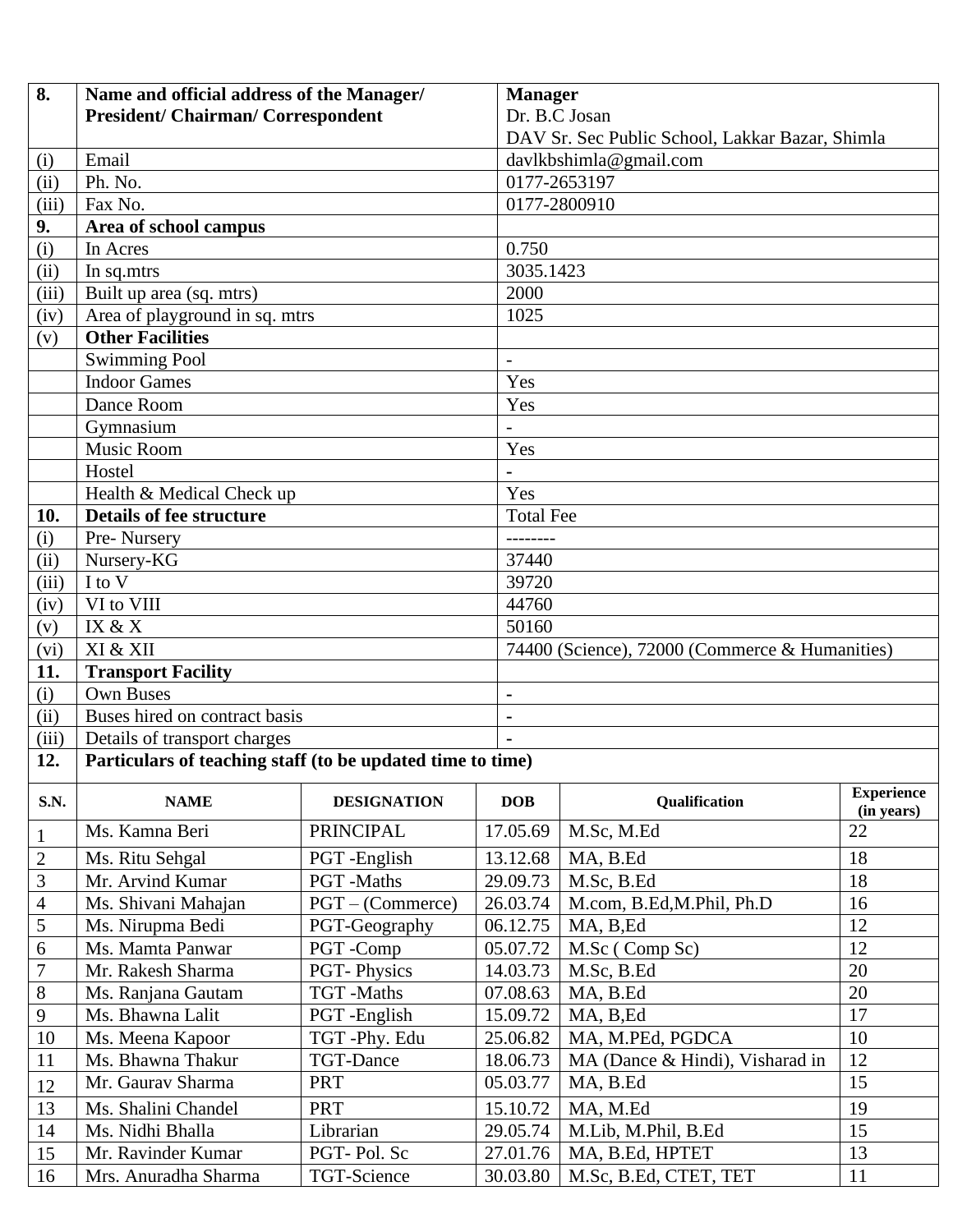| 8.                         | Name and official address of the Manager/                  |                    |                  | <b>Manager</b>                                  |                   |  |  |
|----------------------------|------------------------------------------------------------|--------------------|------------------|-------------------------------------------------|-------------------|--|--|
|                            | <b>President/ Chairman/ Correspondent</b>                  |                    |                  | Dr. B.C Josan                                   |                   |  |  |
|                            |                                                            |                    |                  | DAV Sr. Sec Public School, Lakkar Bazar, Shimla |                   |  |  |
| (i)                        | Email                                                      |                    |                  | davlkbshimla@gmail.com                          |                   |  |  |
| (ii)                       | Ph. No.                                                    |                    |                  | 0177-2653197                                    |                   |  |  |
| (iii)                      | Fax No.                                                    |                    |                  | 0177-2800910                                    |                   |  |  |
| 9.                         | Area of school campus                                      |                    |                  |                                                 |                   |  |  |
| (i)                        | In Acres                                                   |                    | 0.750            |                                                 |                   |  |  |
| (ii)                       | In sq.mtrs                                                 |                    | 3035.1423        |                                                 |                   |  |  |
| (iii)                      | Built up area (sq. mtrs)                                   |                    | 2000             |                                                 |                   |  |  |
| (iv)                       | Area of playground in sq. mtrs                             |                    |                  | 1025                                            |                   |  |  |
| (v)                        | <b>Other Facilities</b>                                    |                    |                  |                                                 |                   |  |  |
|                            | <b>Swimming Pool</b>                                       |                    |                  |                                                 |                   |  |  |
|                            | <b>Indoor Games</b>                                        |                    | Yes              |                                                 |                   |  |  |
|                            | Dance Room                                                 |                    | Yes              |                                                 |                   |  |  |
|                            | Gymnasium                                                  |                    |                  |                                                 |                   |  |  |
|                            | Music Room                                                 |                    | Yes              |                                                 |                   |  |  |
|                            | Hostel                                                     |                    | $\blacksquare$   |                                                 |                   |  |  |
|                            | Health & Medical Check up                                  |                    | Yes              |                                                 |                   |  |  |
| 10.                        | <b>Details of fee structure</b>                            |                    | <b>Total Fee</b> |                                                 |                   |  |  |
| (i)                        | Pre-Nursery                                                |                    | --------         |                                                 |                   |  |  |
| (ii)                       | Nursery-KG                                                 |                    |                  | 37440                                           |                   |  |  |
| (iii)                      | I to V                                                     |                    | 39720            |                                                 |                   |  |  |
| (iv)                       | VI to VIII                                                 |                    | 44760            | 50160                                           |                   |  |  |
| (v)                        | IX & X                                                     |                    |                  |                                                 |                   |  |  |
| (vi)                       | XI & XII                                                   |                    |                  | 74400 (Science), 72000 (Commerce & Humanities)  |                   |  |  |
| 11.                        | <b>Transport Facility</b>                                  |                    |                  |                                                 |                   |  |  |
| (i)                        | <b>Own Buses</b>                                           |                    |                  |                                                 |                   |  |  |
| $\overline{(\mathrm{ii})}$ | Buses hired on contract basis                              |                    | -                |                                                 |                   |  |  |
| (iii)                      | Details of transport charges                               |                    |                  |                                                 |                   |  |  |
| 12.                        | Particulars of teaching staff (to be updated time to time) |                    |                  |                                                 |                   |  |  |
| S.N.                       | <b>NAME</b>                                                | <b>DESIGNATION</b> | <b>DOB</b>       | Qualification                                   | <b>Experience</b> |  |  |
|                            |                                                            | <b>PRINCIPAL</b>   |                  |                                                 | (in years)<br>22  |  |  |
| $\mathbf{1}$               | Ms. Kamna Beri                                             |                    | 17.05.69         | M.Sc, M.Ed                                      |                   |  |  |
| $\mathbf{2}$               | Ms. Ritu Sehgal                                            | PGT-English        | 13.12.68         | MA, B.Ed                                        | 18                |  |  |
| 3                          | Mr. Arvind Kumar                                           | PGT-Maths          | 29.09.73         | M.Sc, B.Ed                                      | 18<br>16          |  |  |
| $\overline{4}$             | Ms. Shivani Mahajan                                        | $PGT - (Commerce)$ | 26.03.74         | M.com, B.Ed, M.Phil, Ph.D                       |                   |  |  |
| 5                          | Ms. Nirupma Bedi                                           | PGT-Geography      | 06.12.75         | MA, B, Ed                                       | 12                |  |  |
| 6                          | Ms. Mamta Panwar                                           | PGT-Comp           | 05.07.72         | M.Sc (Comp Sc)                                  | 12                |  |  |
| $\overline{7}$             | Mr. Rakesh Sharma                                          | <b>PGT-Physics</b> | 14.03.73         | M.Sc, B.Ed                                      | 20                |  |  |
| $8\,$                      | Ms. Ranjana Gautam                                         | TGT-Maths          | 07.08.63         | MA, B.Ed                                        | 20                |  |  |
| 9                          | Ms. Bhawna Lalit                                           | PGT-English        | 15.09.72         | MA, B, Ed                                       | 17                |  |  |
| 10                         | Ms. Meena Kapoor                                           | TGT-Phy. Edu       | 25.06.82         | MA, M.PEd, PGDCA                                | 10                |  |  |
| 11                         | Ms. Bhawna Thakur                                          | <b>TGT-Dance</b>   | 18.06.73         | MA (Dance & Hindi), Visharad in                 | 12                |  |  |
| 12                         | Mr. Gaurav Sharma                                          | <b>PRT</b>         | 05.03.77         | MA, B.Ed                                        | 15                |  |  |
| 13                         | Ms. Shalini Chandel                                        | <b>PRT</b>         | 15.10.72         | MA, M.Ed                                        | 19                |  |  |
| 14                         | Ms. Nidhi Bhalla                                           | Librarian          | 29.05.74         | M.Lib, M.Phil, B.Ed                             | 15                |  |  |
| 15                         | Mr. Ravinder Kumar                                         | PGT-Pol. Sc        | 27.01.76         | MA, B.Ed, HPTET                                 | 13                |  |  |
| 16                         | Mrs. Anuradha Sharma                                       | TGT-Science        | 30.03.80         | M.Sc, B.Ed, CTET, TET                           | 11                |  |  |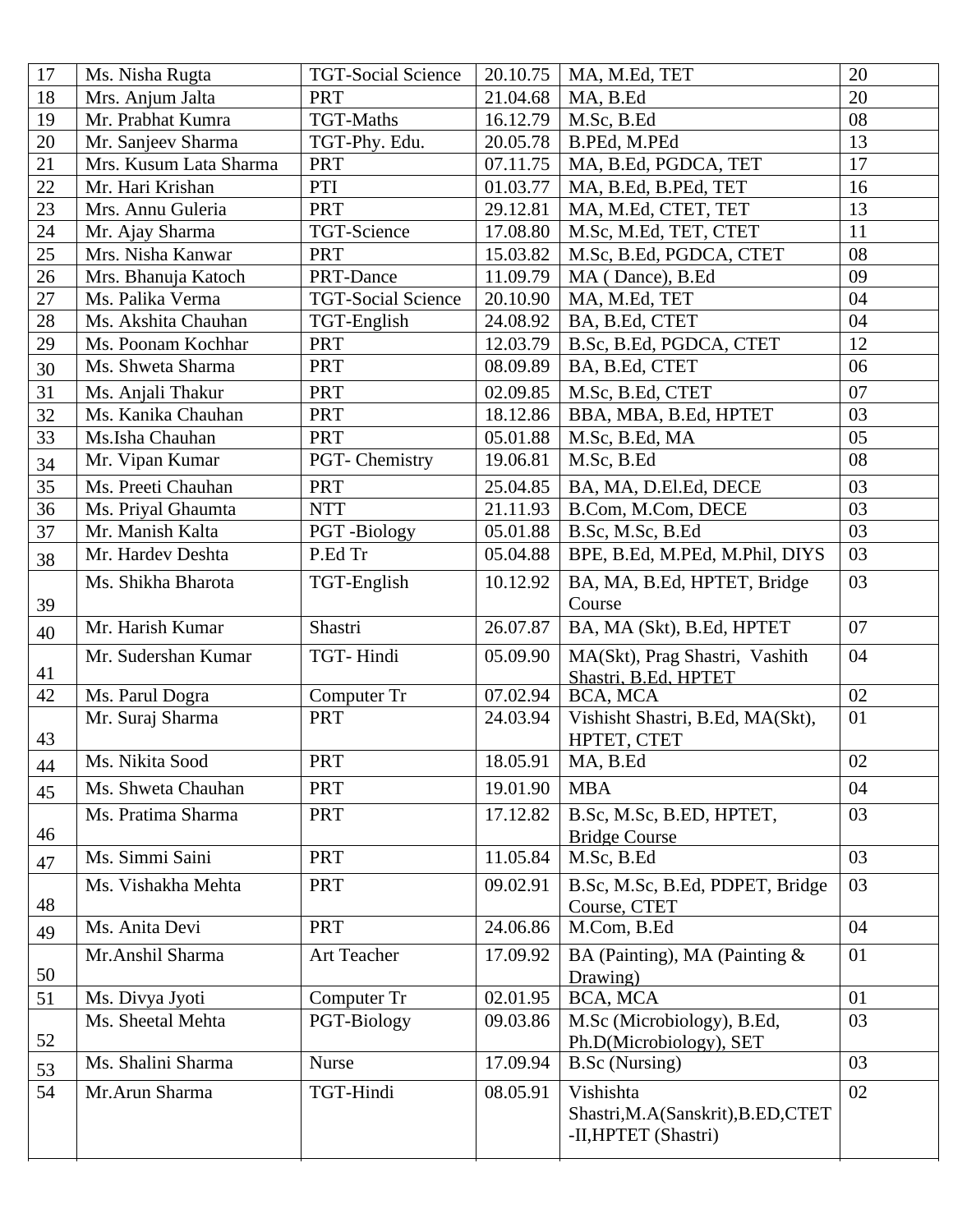| 17 | Ms. Nisha Rugta        | <b>TGT-Social Science</b> | 20.10.75 | MA, M.Ed, TET                                              | 20     |
|----|------------------------|---------------------------|----------|------------------------------------------------------------|--------|
| 18 | Mrs. Anjum Jalta       | <b>PRT</b>                | 21.04.68 | MA, B.Ed                                                   | 20     |
| 19 | Mr. Prabhat Kumra      | <b>TGT-Maths</b>          | 16.12.79 | M.Sc, B.Ed                                                 | 08     |
| 20 | Mr. Sanjeev Sharma     | TGT-Phy. Edu.             | 20.05.78 | B.PEd, M.PEd                                               | 13     |
| 21 | Mrs. Kusum Lata Sharma | <b>PRT</b>                | 07.11.75 | MA, B.Ed, PGDCA, TET                                       | 17     |
| 22 | Mr. Hari Krishan       | PTI                       | 01.03.77 | MA, B.Ed, B.PEd, TET                                       | 16     |
| 23 | Mrs. Annu Guleria      | <b>PRT</b>                | 29.12.81 | MA, M.Ed, CTET, TET                                        | 13     |
| 24 | Mr. Ajay Sharma        | TGT-Science               | 17.08.80 | M.Sc, M.Ed, TET, CTET                                      | 11     |
| 25 | Mrs. Nisha Kanwar      | <b>PRT</b>                | 15.03.82 | M.Sc, B.Ed, PGDCA, CTET                                    | 08     |
| 26 | Mrs. Bhanuja Katoch    | PRT-Dance                 | 11.09.79 | MA (Dance), B.Ed                                           | 09     |
| 27 | Ms. Palika Verma       | <b>TGT-Social Science</b> | 20.10.90 | MA, M.Ed, TET                                              | 04     |
| 28 | Ms. Akshita Chauhan    | TGT-English               | 24.08.92 | BA, B.Ed, CTET                                             | 04     |
| 29 | Ms. Poonam Kochhar     | <b>PRT</b>                | 12.03.79 | B.Sc, B.Ed, PGDCA, CTET                                    | 12     |
| 30 | Ms. Shweta Sharma      | <b>PRT</b>                | 08.09.89 | BA, B.Ed, CTET                                             | 06     |
| 31 | Ms. Anjali Thakur      | <b>PRT</b>                | 02.09.85 | M.Sc, B.Ed, CTET                                           | 07     |
| 32 | Ms. Kanika Chauhan     | <b>PRT</b>                | 18.12.86 | BBA, MBA, B.Ed, HPTET                                      | 03     |
| 33 | Ms.Isha Chauhan        | <b>PRT</b>                | 05.01.88 | M.Sc, B.Ed, MA                                             | 05     |
| 34 | Mr. Vipan Kumar        | PGT- Chemistry            | 19.06.81 | M.Sc, B.Ed                                                 | 08     |
| 35 | Ms. Preeti Chauhan     | <b>PRT</b>                | 25.04.85 | BA, MA, D.El.Ed, DECE                                      | 03     |
| 36 | Ms. Priyal Ghaumta     | <b>NTT</b>                | 21.11.93 | B.Com, M.Com, DECE                                         | 03     |
| 37 | Mr. Manish Kalta       | PGT-Biology               | 05.01.88 | B.Sc, M.Sc, B.Ed                                           | 03     |
| 38 | Mr. Hardev Deshta      | P.Ed Tr                   | 05.04.88 | BPE, B.Ed, M.PEd, M.Phil, DIYS                             | 03     |
| 39 | Ms. Shikha Bharota     | TGT-English               | 10.12.92 | BA, MA, B.Ed, HPTET, Bridge<br>Course                      | 03     |
| 40 | Mr. Harish Kumar       | Shastri                   | 26.07.87 | BA, MA (Skt), B.Ed, HPTET                                  | 07     |
| 41 | Mr. Sudershan Kumar    | TGT-Hindi                 | 05.09.90 | MA(Skt), Prag Shastri, Vashith<br>Shastri, B.Ed. HPTET     | 04     |
| 42 | Ms. Parul Dogra        | Computer Tr               | 07.02.94 | BCA, MCA                                                   | 02     |
| 43 | Mr. Suraj Sharma       | <b>PRT</b>                | 24.03.94 | Vishisht Shastri, B.Ed, MA(Skt),<br>HPTET, CTET            | 01     |
| 44 | Ms. Nikita Sood        | PRT                       | 18.05.91 | MA, B.Ed                                                   | $02\,$ |
| 45 | Ms. Shweta Chauhan     | <b>PRT</b>                | 19.01.90 | <b>MBA</b>                                                 | 04     |
| 46 | Ms. Pratima Sharma     | <b>PRT</b>                | 17.12.82 | B.Sc, M.Sc, B.ED, HPTET,<br><b>Bridge Course</b>           | 03     |
| 47 | Ms. Simmi Saini        | <b>PRT</b>                | 11.05.84 | M.Sc, B.Ed                                                 | 03     |
| 48 | Ms. Vishakha Mehta     | <b>PRT</b>                | 09.02.91 | B.Sc, M.Sc, B.Ed, PDPET, Bridge<br>Course, CTET            | 03     |
| 49 | Ms. Anita Devi         | <b>PRT</b>                | 24.06.86 | M.Com, B.Ed                                                | 04     |
| 50 | Mr.Anshil Sharma       | Art Teacher               | 17.09.92 | BA (Painting), MA (Painting &<br>Drawing)                  | 01     |
| 51 | Ms. Divya Jyoti        | Computer Tr               | 02.01.95 | BCA, MCA                                                   | 01     |
| 52 | Ms. Sheetal Mehta      | PGT-Biology               | 09.03.86 | M.Sc (Microbiology), B.Ed,<br>Ph.D(Microbiology), SET      | 03     |
| 53 | Ms. Shalini Sharma     | <b>Nurse</b>              | 17.09.94 | <b>B.Sc</b> (Nursing)                                      | 03     |
| 54 | Mr.Arun Sharma         | TGT-Hindi                 | 08.05.91 | Vishishta                                                  | 02     |
|    |                        |                           |          | Shastri, M.A(Sanskrit), B.ED, CTET<br>-II, HPTET (Shastri) |        |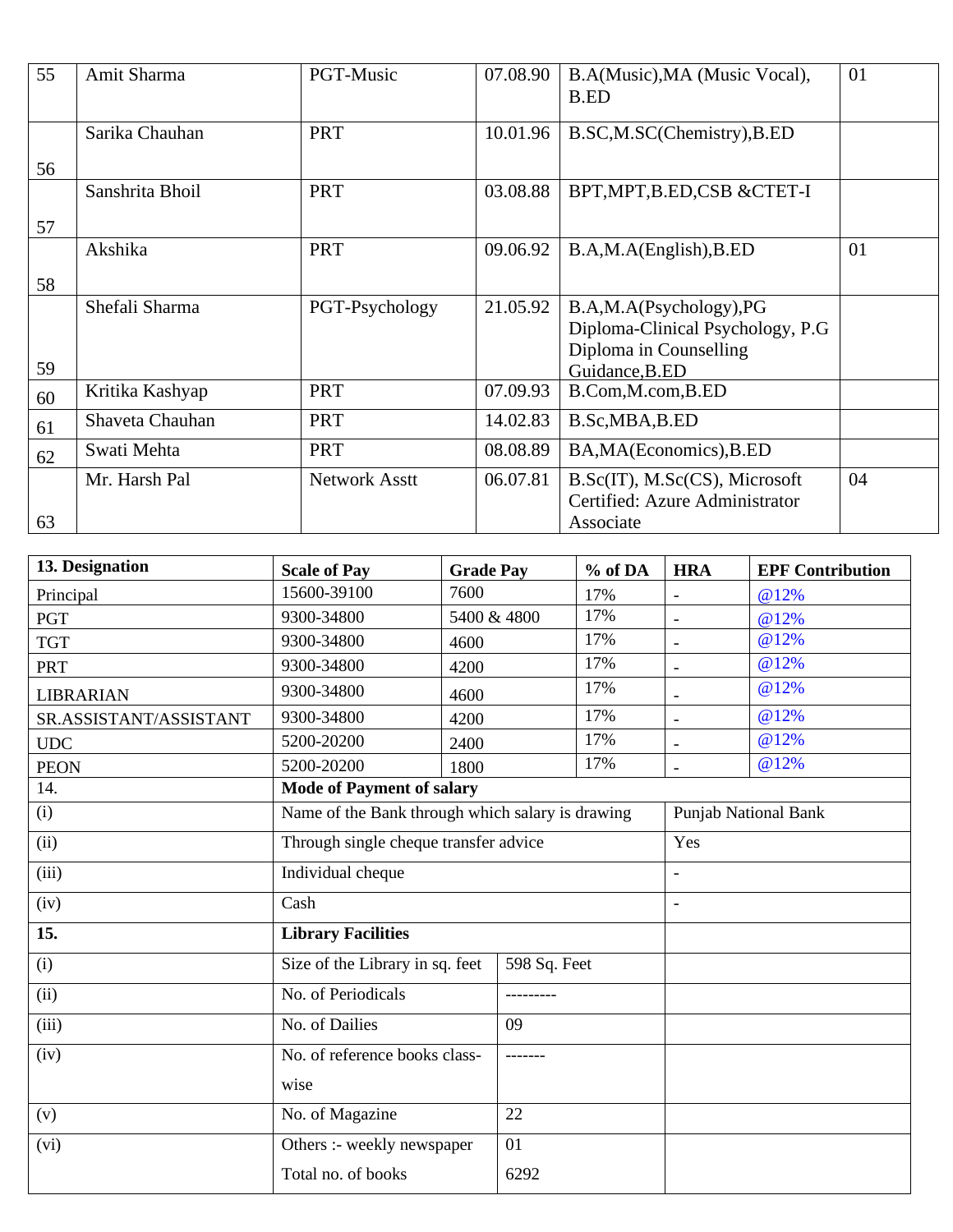| 55       | Amit Sharma     | PGT-Music            | 07.08.90 | B.A(Music), MA (Music Vocal),<br>B.ED                                                                   | 01 |
|----------|-----------------|----------------------|----------|---------------------------------------------------------------------------------------------------------|----|
|          | Sarika Chauhan  | <b>PRT</b>           | 10.01.96 | B.SC,M.SC(Chemistry),B.ED                                                                               |    |
| 56       | Sanshrita Bhoil | <b>PRT</b>           | 03.08.88 | BPT, MPT, B.ED, CSB & CTET-I                                                                            |    |
| 57<br>58 | Akshika         | PRT                  | 09.06.92 | B.A,M.A(English),B.ED                                                                                   | 01 |
| 59       | Shefali Sharma  | PGT-Psychology       | 21.05.92 | B.A,M.A(Psychology),PG<br>Diploma-Clinical Psychology, P.G.<br>Diploma in Counselling<br>Guidance, B.ED |    |
| 60       | Kritika Kashyap | <b>PRT</b>           | 07.09.93 | B.Com, M.com, B.ED                                                                                      |    |
| 61       | Shaveta Chauhan | <b>PRT</b>           | 14.02.83 | B.Sc, MBA, B.ED                                                                                         |    |
| 62       | Swati Mehta     | <b>PRT</b>           | 08.08.89 | BA, MA (Economics), B.ED                                                                                |    |
| 63       | Mr. Harsh Pal   | <b>Network Asstt</b> | 06.07.81 | B.Sc(IT), M.Sc(CS), Microsoft<br>Certified: Azure Administrator<br>Associate                            | 04 |

| 13. Designation        | <b>Scale of Pay</b>                              | <b>Grade Pay</b> | % of DA | <b>HRA</b>                  | <b>EPF Contribution</b> |
|------------------------|--------------------------------------------------|------------------|---------|-----------------------------|-------------------------|
| Principal              | 15600-39100                                      | 7600             | 17%     |                             | @12%                    |
| <b>PGT</b>             | 9300-34800                                       | 5400 & 4800      | 17%     | $\overline{\phantom{a}}$    | @12%                    |
| <b>TGT</b>             | 9300-34800                                       | 4600             | 17%     | $\overline{\phantom{0}}$    | @12%                    |
| <b>PRT</b>             | 9300-34800                                       | 4200             | 17%     | $\overline{\phantom{a}}$    | @12%                    |
| <b>LIBRARIAN</b>       | 9300-34800                                       | 4600             | 17%     |                             | @12%                    |
| SR.ASSISTANT/ASSISTANT | 9300-34800                                       | 4200             | 17%     | $\blacksquare$              | @12%                    |
| UDC                    | 5200-20200                                       | 2400             | 17%     | $\overline{\phantom{0}}$    | @12%                    |
| <b>PEON</b>            | 5200-20200                                       | 1800             | 17%     | $\overline{a}$              | @12%                    |
| 14.                    | <b>Mode of Payment of salary</b>                 |                  |         |                             |                         |
| (i)                    | Name of the Bank through which salary is drawing |                  |         | <b>Punjab National Bank</b> |                         |
| (ii)                   | Through single cheque transfer advice            |                  |         | Yes                         |                         |
| (iii)                  | Individual cheque                                |                  |         | $\overline{\phantom{a}}$    |                         |
| (iv)                   | Cash                                             |                  |         |                             |                         |
| 15.                    | <b>Library Facilities</b>                        |                  |         |                             |                         |
| (i)                    | Size of the Library in sq. feet<br>598 Sq. Feet  |                  |         |                             |                         |
| (ii)                   | No. of Periodicals                               | ---------        |         |                             |                         |
| (iii)                  | No. of Dailies                                   | 09               |         |                             |                         |
| (iv)                   | No. of reference books class-                    |                  |         |                             |                         |
|                        | wise                                             |                  |         |                             |                         |
| (v)                    | No. of Magazine                                  | 22               |         |                             |                         |
| (vi)                   | Others :- weekly newspaper                       | 01               |         |                             |                         |
|                        | Total no. of books                               | 6292             |         |                             |                         |